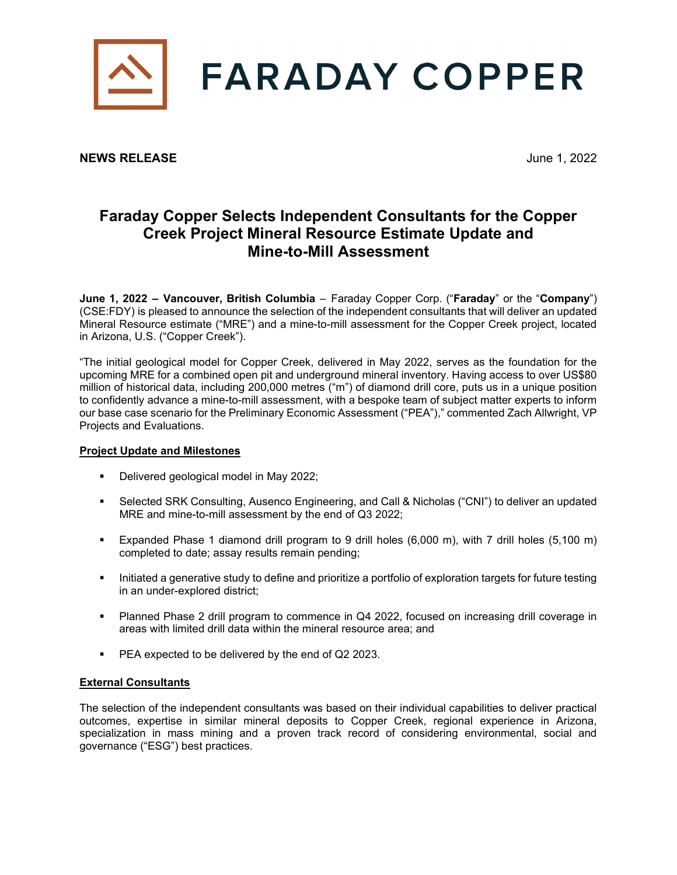

**NEWS RELEASE** June 1, 2022

# **Faraday Copper Selects Independent Consultants for the Copper Creek Project Mineral Resource Estimate Update and Mine-to-Mill Assessment**

**June 1, 2022 – Vancouver, British Columbia** – Faraday Copper Corp. ("**Faraday**" or the "**Company**") (CSE:FDY) is pleased to announce the selection of the independent consultants that will deliver an updated Mineral Resource estimate ("MRE") and a mine-to-mill assessment for the Copper Creek project, located in Arizona, U.S. ("Copper Creek").

"The initial geological model for Copper Creek, delivered in May 2022, serves as the foundation for the upcoming MRE for a combined open pit and underground mineral inventory. Having access to over US\$80 million of historical data, including 200,000 metres ("m") of diamond drill core, puts us in a unique position to confidently advance a mine-to-mill assessment, with a bespoke team of subject matter experts to inform our base case scenario for the Preliminary Economic Assessment ("PEA")," commented Zach Allwright, VP Projects and Evaluations.

# **Project Update and Milestones**

- **Delivered geological model in May 2022;**
- Selected SRK Consulting, Ausenco Engineering, and Call & Nicholas ("CNI") to deliver an updated MRE and mine-to-mill assessment by the end of Q3 2022;
- Expanded Phase 1 diamond drill program to 9 drill holes (6,000 m), with 7 drill holes (5,100 m) completed to date; assay results remain pending;
- Initiated a generative study to define and prioritize a portfolio of exploration targets for future testing in an under-explored district;
- Planned Phase 2 drill program to commence in Q4 2022, focused on increasing drill coverage in areas with limited drill data within the mineral resource area; and
- **PEA expected to be delivered by the end of Q2 2023.**

# **External Consultants**

The selection of the independent consultants was based on their individual capabilities to deliver practical outcomes, expertise in similar mineral deposits to Copper Creek, regional experience in Arizona, specialization in mass mining and a proven track record of considering environmental, social and governance ("ESG") best practices.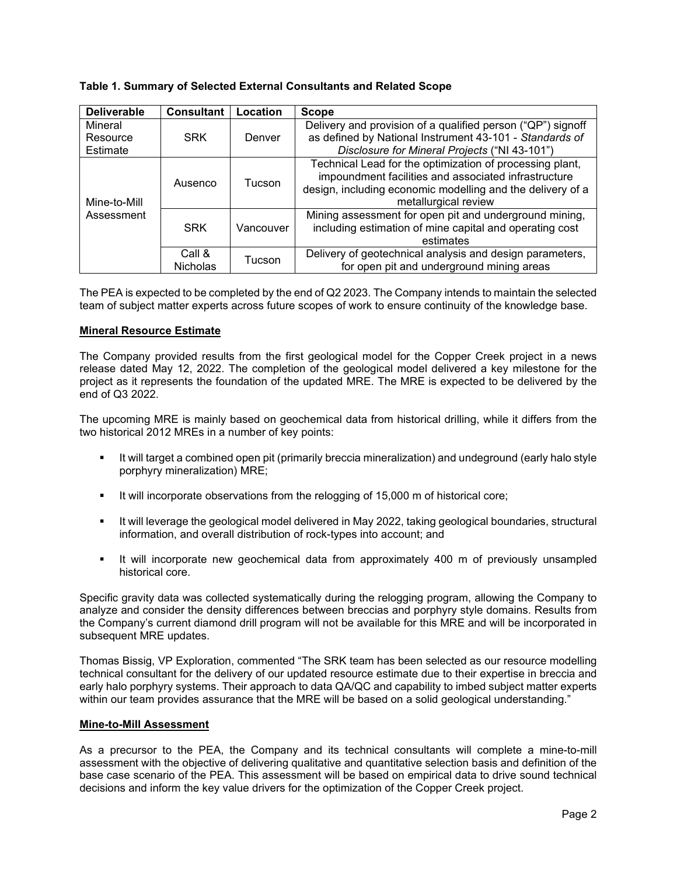## **Table 1. Summary of Selected External Consultants and Related Scope**

| <b>Deliverable</b>              | <b>Consultant</b>         | Location  | <b>Scope</b>                                                                                                                                                                                           |
|---------------------------------|---------------------------|-----------|--------------------------------------------------------------------------------------------------------------------------------------------------------------------------------------------------------|
| Mineral<br>Resource<br>Estimate | <b>SRK</b>                | Denver    | Delivery and provision of a qualified person ("QP") signoff<br>as defined by National Instrument 43-101 - Standards of<br>Disclosure for Mineral Projects ("NI 43-101")                                |
| Mine-to-Mill<br>Assessment      | Ausenco                   | Tucson    | Technical Lead for the optimization of processing plant,<br>impoundment facilities and associated infrastructure<br>design, including economic modelling and the delivery of a<br>metallurgical review |
|                                 | <b>SRK</b>                | Vancouver | Mining assessment for open pit and underground mining,<br>including estimation of mine capital and operating cost<br>estimates                                                                         |
|                                 | Call &<br><b>Nicholas</b> | Tucson    | Delivery of geotechnical analysis and design parameters,<br>for open pit and underground mining areas                                                                                                  |

The PEA is expected to be completed by the end of Q2 2023. The Company intends to maintain the selected team of subject matter experts across future scopes of work to ensure continuity of the knowledge base.

#### **Mineral Resource Estimate**

The Company provided results from the first geological model for the Copper Creek project in a news release dated May 12, 2022. The completion of the geological model delivered a key milestone for the project as it represents the foundation of the updated MRE. The MRE is expected to be delivered by the end of Q3 2022.

The upcoming MRE is mainly based on geochemical data from historical drilling, while it differs from the two historical 2012 MREs in a number of key points:

- It will target a combined open pit (primarily breccia mineralization) and undeground (early halo style porphyry mineralization) MRE;
- It will incorporate observations from the relogging of 15,000 m of historical core;
- It will leverage the geological model delivered in May 2022, taking geological boundaries, structural information, and overall distribution of rock-types into account; and
- **If will incorporate new geochemical data from approximately 400 m of previously unsampled** historical core.

Specific gravity data was collected systematically during the relogging program, allowing the Company to analyze and consider the density differences between breccias and porphyry style domains. Results from the Company's current diamond drill program will not be available for this MRE and will be incorporated in subsequent MRE updates.

Thomas Bissig, VP Exploration, commented "The SRK team has been selected as our resource modelling technical consultant for the delivery of our updated resource estimate due to their expertise in breccia and early halo porphyry systems. Their approach to data QA/QC and capability to imbed subject matter experts within our team provides assurance that the MRE will be based on a solid geological understanding."

#### **Mine-to-Mill Assessment**

As a precursor to the PEA, the Company and its technical consultants will complete a mine-to-mill assessment with the objective of delivering qualitative and quantitative selection basis and definition of the base case scenario of the PEA. This assessment will be based on empirical data to drive sound technical decisions and inform the key value drivers for the optimization of the Copper Creek project.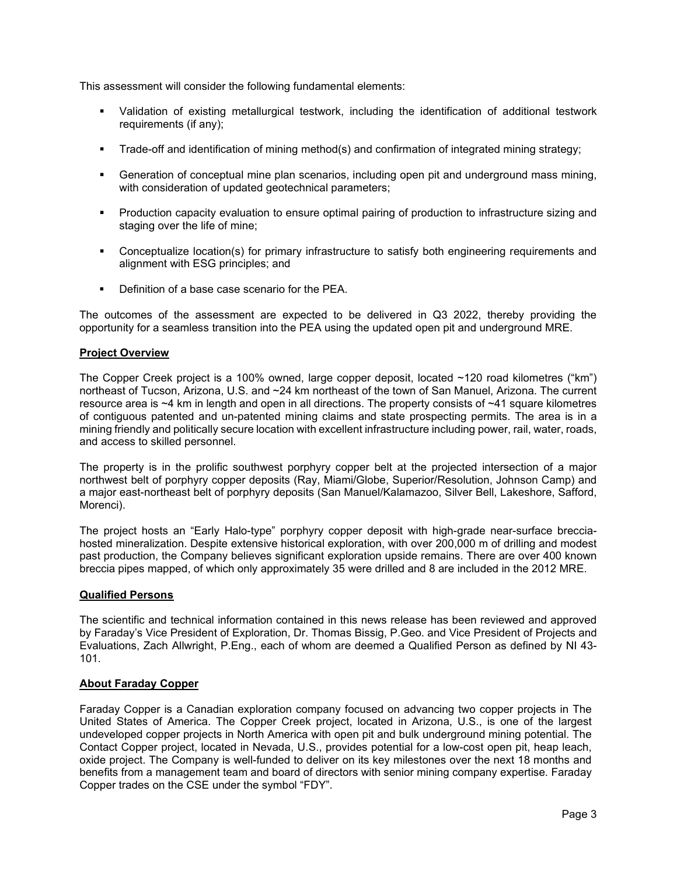This assessment will consider the following fundamental elements:

- Validation of existing metallurgical testwork, including the identification of additional testwork requirements (if any);
- Trade-off and identification of mining method(s) and confirmation of integrated mining strategy;
- Generation of conceptual mine plan scenarios, including open pit and underground mass mining, with consideration of updated geotechnical parameters;
- Production capacity evaluation to ensure optimal pairing of production to infrastructure sizing and staging over the life of mine;
- Conceptualize location(s) for primary infrastructure to satisfy both engineering requirements and alignment with ESG principles; and
- Definition of a base case scenario for the PEA.

The outcomes of the assessment are expected to be delivered in Q3 2022, thereby providing the opportunity for a seamless transition into the PEA using the updated open pit and underground MRE.

## **Project Overview**

The Copper Creek project is a 100% owned, large copper deposit, located ~120 road kilometres ("km") northeast of Tucson, Arizona, U.S. and ~24 km northeast of the town of San Manuel, Arizona. The current resource area is ~4 km in length and open in all directions. The property consists of ~41 square kilometres of contiguous patented and un-patented mining claims and state prospecting permits. The area is in a mining friendly and politically secure location with excellent infrastructure including power, rail, water, roads, and access to skilled personnel.

The property is in the prolific southwest porphyry copper belt at the projected intersection of a major northwest belt of porphyry copper deposits (Ray, Miami/Globe, Superior/Resolution, Johnson Camp) and a major east-northeast belt of porphyry deposits (San Manuel/Kalamazoo, Silver Bell, Lakeshore, Safford, Morenci).

The project hosts an "Early Halo-type" porphyry copper deposit with high-grade near-surface brecciahosted mineralization. Despite extensive historical exploration, with over 200,000 m of drilling and modest past production, the Company believes significant exploration upside remains. There are over 400 known breccia pipes mapped, of which only approximately 35 were drilled and 8 are included in the 2012 MRE.

#### **Qualified Persons**

The scientific and technical information contained in this news release has been reviewed and approved by Faraday's Vice President of Exploration, Dr. Thomas Bissig, P.Geo. and Vice President of Projects and Evaluations, Zach Allwright, P.Eng., each of whom are deemed a Qualified Person as defined by NI 43- 101.

#### **About Faraday Copper**

Faraday Copper is a Canadian exploration company focused on advancing two copper projects in The United States of America. The Copper Creek project, located in Arizona, U.S., is one of the largest undeveloped copper projects in North America with open pit and bulk underground mining potential. The Contact Copper project, located in Nevada, U.S., provides potential for a low-cost open pit, heap leach, oxide project. The Company is well-funded to deliver on its key milestones over the next 18 months and benefits from a management team and board of directors with senior mining company expertise. Faraday Copper trades on the CSE under the symbol "FDY".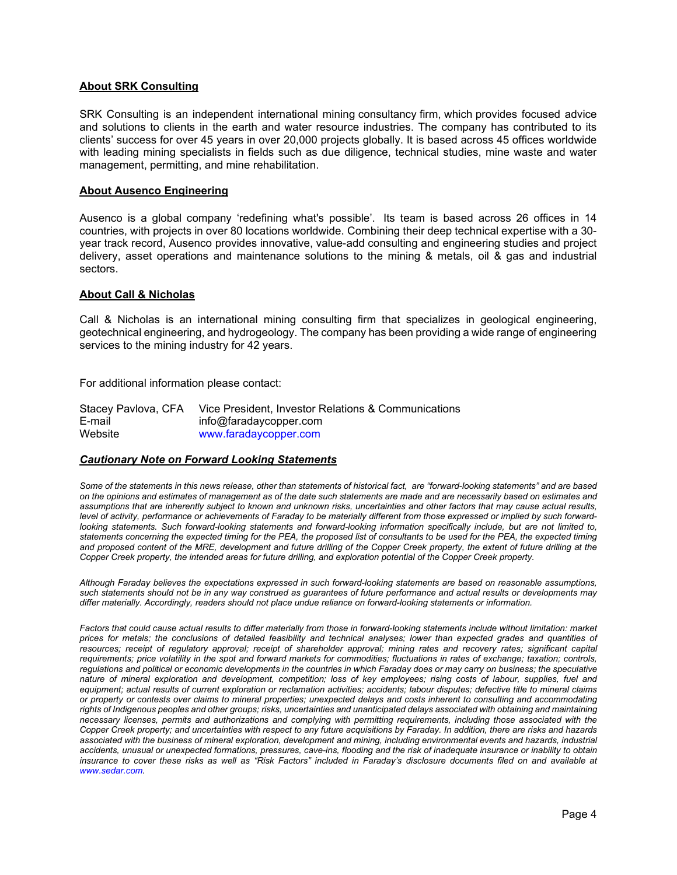#### **About SRK Consulting**

SRK Consulting is an independent international mining consultancy firm, which provides focused advice and solutions to clients in the earth and water resource industries. The company has contributed to its clients' success for over 45 years in over 20,000 projects globally. It is based across 45 offices worldwide with leading mining specialists in fields such as due diligence, technical studies, mine waste and water management, permitting, and mine rehabilitation.

#### **About Ausenco Engineering**

Ausenco is a global company 'redefining what's possible'. Its team is based across 26 offices in 14 countries, with projects in over 80 locations worldwide. Combining their deep technical expertise with a 30 year track record, Ausenco provides innovative, value-add consulting and engineering studies and project delivery, asset operations and maintenance solutions to the mining & metals, oil & gas and industrial sectors.

#### **About Call & Nicholas**

Call & Nicholas is an international mining consulting firm that specializes in geological engineering, geotechnical engineering, and hydrogeology. The company has been providing a wide range of engineering services to the mining industry for 42 years.

For additional information please contact:

| Stacey Pavlova, CFA | Vice President. Investor Relations & Communications |
|---------------------|-----------------------------------------------------|
| E-mail              | info@faradaycopper.com                              |
| Website             | www.faradaycopper.com                               |

#### *Cautionary Note on Forward Looking Statements*

*Some of the statements in this news release, other than statements of historical fact, are "forward-looking statements" and are based on the opinions and estimates of management as of the date such statements are made and are necessarily based on estimates and assumptions that are inherently subject to known and unknown risks, uncertainties and other factors that may cause actual results, level of activity, performance or achievements of Faraday to be materially different from those expressed or implied by such forwardlooking statements. Such forward-looking statements and forward-looking information specifically include, but are not limited to, statements concerning the expected timing for the PEA, the proposed list of consultants to be used for the PEA, the expected timing and proposed content of the MRE, development and future drilling of the Copper Creek property, the extent of future drilling at the Copper Creek property, the intended areas for future drilling, and exploration potential of the Copper Creek property.*

*Although Faraday believes the expectations expressed in such forward-looking statements are based on reasonable assumptions, such statements should not be in any way construed as guarantees of future performance and actual results or developments may differ materially. Accordingly, readers should not place undue reliance on forward-looking statements or information.* 

*Factors that could cause actual results to differ materially from those in forward-looking statements include without limitation: market prices for metals; the conclusions of detailed feasibility and technical analyses; lower than expected grades and quantities of resources; receipt of regulatory approval; receipt of shareholder approval; mining rates and recovery rates; significant capital requirements; price volatility in the spot and forward markets for commodities; fluctuations in rates of exchange; taxation; controls, regulations and political or economic developments in the countries in which Faraday does or may carry on business; the speculative nature of mineral exploration and development, competition; loss of key employees; rising costs of labour, supplies, fuel and equipment; actual results of current exploration or reclamation activities; accidents; labour disputes; defective title to mineral claims or property or contests over claims to mineral properties; unexpected delays and costs inherent to consulting and accommodating*  rights of Indigenous peoples and other groups; risks, uncertainties and unanticipated delays associated with obtaining and maintaining *necessary licenses, permits and authorizations and complying with permitting requirements, including those associated with the Copper Creek property; and uncertainties with respect to any future acquisitions by Faraday. In addition, there are risks and hazards associated with the business of mineral exploration, development and mining, including environmental events and hazards, industrial accidents, unusual or unexpected formations, pressures, cave-ins, flooding and the risk of inadequate insurance or inability to obtain insurance to cover these risks as well as "Risk Factors" included in Faraday's disclosure documents filed on and available at [www.sedar.com.](http://www.sedar.com/)*